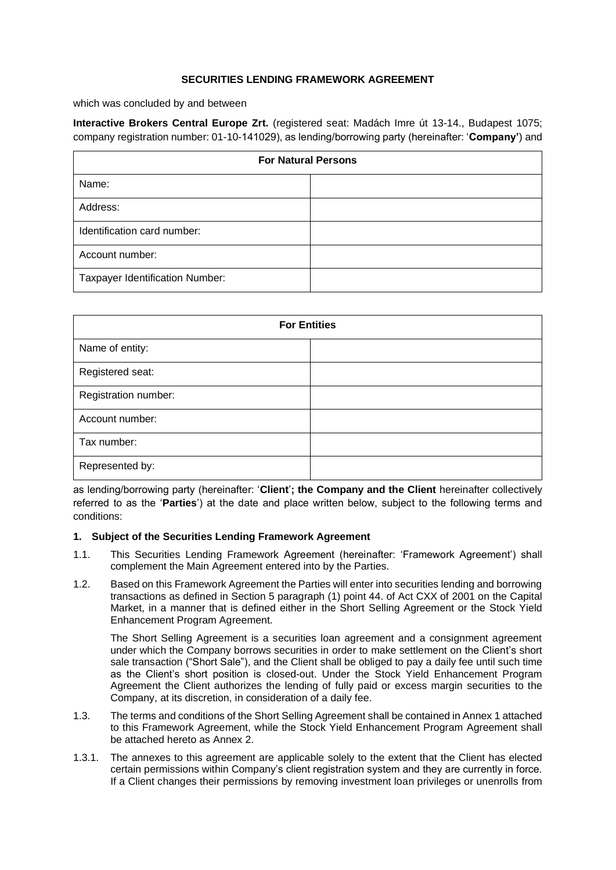### **SECURITIES LENDING FRAMEWORK AGREEMENT**

which was concluded by and between

**Interactive Brokers Central Europe Zrt.** (registered seat: Madách Imre út 13-14., Budapest 1075; company registration number: 01-10-141029), as lending/borrowing party (hereinafter: '**Company'**) and

| <b>For Natural Persons</b>             |  |
|----------------------------------------|--|
| Name:                                  |  |
| Address:                               |  |
| Identification card number:            |  |
| Account number:                        |  |
| <b>Taxpayer Identification Number:</b> |  |

| <b>For Entities</b>  |  |
|----------------------|--|
| Name of entity:      |  |
| Registered seat:     |  |
| Registration number: |  |
| Account number:      |  |
| Tax number:          |  |
| Represented by:      |  |

as lending/borrowing party (hereinafter: '**Client**'**; the Company and the Client** hereinafter collectively referred to as the '**Parties**') at the date and place written below, subject to the following terms and conditions:

## **1. Subject of the Securities Lending Framework Agreement**

- 1.1. This Securities Lending Framework Agreement (hereinafter: 'Framework Agreement') shall complement the Main Agreement entered into by the Parties.
- 1.2. Based on this Framework Agreement the Parties will enter into securities lending and borrowing transactions as defined in Section 5 paragraph (1) point 44. of Act CXX of 2001 on the Capital Market, in a manner that is defined either in the Short Selling Agreement or the Stock Yield Enhancement Program Agreement.

The Short Selling Agreement is a securities loan agreement and a consignment agreement under which the Company borrows securities in order to make settlement on the Client's short sale transaction ("Short Sale"), and the Client shall be obliged to pay a daily fee until such time as the Client's short position is closed-out. Under the Stock Yield Enhancement Program Agreement the Client authorizes the lending of fully paid or excess margin securities to the Company, at its discretion, in consideration of a daily fee.

- 1.3. The terms and conditions of the Short Selling Agreement shall be contained in Annex 1 attached to this Framework Agreement, while the Stock Yield Enhancement Program Agreement shall be attached hereto as Annex 2.
- 1.3.1. The annexes to this agreement are applicable solely to the extent that the Client has elected certain permissions within Company's client registration system and they are currently in force. If a Client changes their permissions by removing investment loan privileges or unenrolls from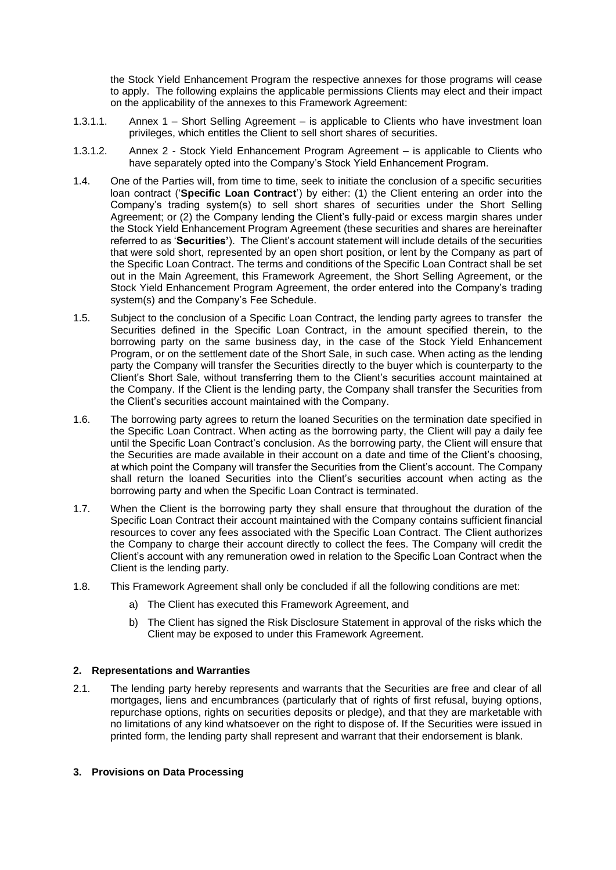the Stock Yield Enhancement Program the respective annexes for those programs will cease to apply. The following explains the applicable permissions Clients may elect and their impact on the applicability of the annexes to this Framework Agreement:

- 1.3.1.1. Annex 1 Short Selling Agreement is applicable to Clients who have investment loan privileges, which entitles the Client to sell short shares of securities.
- 1.3.1.2. Annex 2 Stock Yield Enhancement Program Agreement is applicable to Clients who have separately opted into the Company's Stock Yield Enhancement Program.
- 1.4. One of the Parties will, from time to time, seek to initiate the conclusion of a specific securities loan contract ('**Specific Loan Contract**') by either: (1) the Client entering an order into the Company's trading system(s) to sell short shares of securities under the Short Selling Agreement; or (2) the Company lending the Client's fully-paid or excess margin shares under the Stock Yield Enhancement Program Agreement (these securities and shares are hereinafter referred to as '**Securities'**). The Client's account statement will include details of the securities that were sold short, represented by an open short position, or lent by the Company as part of the Specific Loan Contract. The terms and conditions of the Specific Loan Contract shall be set out in the Main Agreement, this Framework Agreement, the Short Selling Agreement, or the Stock Yield Enhancement Program Agreement, the order entered into the Company's trading system(s) and the Company's Fee Schedule.
- 1.5. Subject to the conclusion of a Specific Loan Contract, the lending party agrees to transfer the Securities defined in the Specific Loan Contract, in the amount specified therein, to the borrowing party on the same business day, in the case of the Stock Yield Enhancement Program, or on the settlement date of the Short Sale, in such case. When acting as the lending party the Company will transfer the Securities directly to the buyer which is counterparty to the Client's Short Sale, without transferring them to the Client's securities account maintained at the Company. If the Client is the lending party, the Company shall transfer the Securities from the Client's securities account maintained with the Company.
- 1.6. The borrowing party agrees to return the loaned Securities on the termination date specified in the Specific Loan Contract. When acting as the borrowing party, the Client will pay a daily fee until the Specific Loan Contract's conclusion. As the borrowing party, the Client will ensure that the Securities are made available in their account on a date and time of the Client's choosing, at which point the Company will transfer the Securities from the Client's account. The Company shall return the loaned Securities into the Client's securities account when acting as the borrowing party and when the Specific Loan Contract is terminated.
- 1.7. When the Client is the borrowing party they shall ensure that throughout the duration of the Specific Loan Contract their account maintained with the Company contains sufficient financial resources to cover any fees associated with the Specific Loan Contract. The Client authorizes the Company to charge their account directly to collect the fees. The Company will credit the Client's account with any remuneration owed in relation to the Specific Loan Contract when the Client is the lending party.
- 1.8. This Framework Agreement shall only be concluded if all the following conditions are met:
	- a) The Client has executed this Framework Agreement, and
	- b) The Client has signed the Risk Disclosure Statement in approval of the risks which the Client may be exposed to under this Framework Agreement.

#### **2. Representations and Warranties**

2.1. The lending party hereby represents and warrants that the Securities are free and clear of all mortgages, liens and encumbrances (particularly that of rights of first refusal, buying options, repurchase options, rights on securities deposits or pledge), and that they are marketable with no limitations of any kind whatsoever on the right to dispose of. If the Securities were issued in printed form, the lending party shall represent and warrant that their endorsement is blank.

#### **3. Provisions on Data Processing**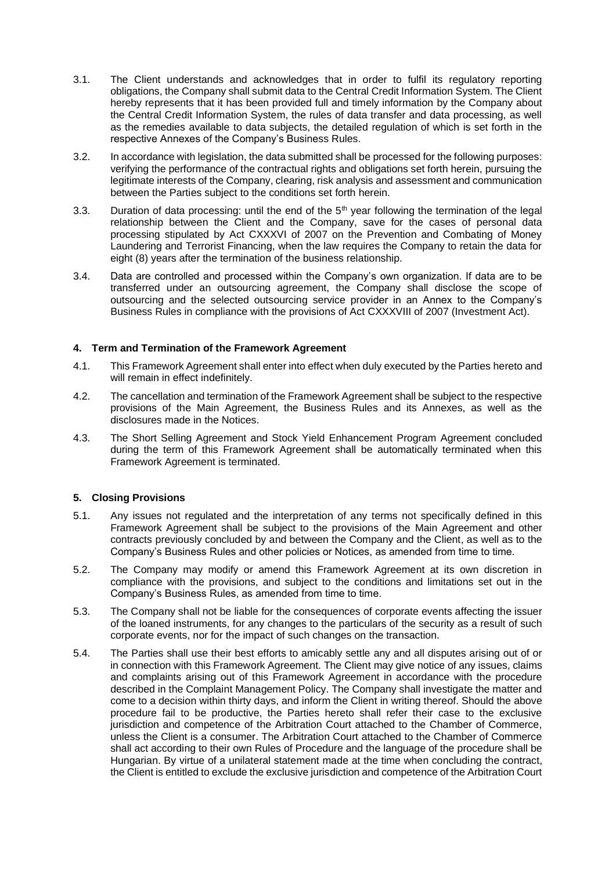- 3.1. The Client understands and acknowledges that in order to fulfil its regulatory reporting obligations, the Company shall submit data to the Central Credit Information System. The Client hereby represents that it has been provided full and timely information by the Company about the Central Credit Information System, the rules of data transfer and data processing, as well as the remedies available to data subjects, the detailed regulation of which is set forth in the respective Annexes of the Company's Business Rules.
- 3.2. In accordance with legislation, the data submitted shall be processed for the following purposes: verifying the performance of the contractual rights and obligations set forth herein, pursuing the legitimate interests of the Company, clearing, risk analysis and assessment and communication between the Parties subject to the conditions set forth herein.
- 3.3. Duration of data processing: until the end of the  $5<sup>th</sup>$  year following the termination of the legal relationship between the Client and the Company, save for the cases of personal data processing stipulated by Act CXXXVI of 2007 on the Prevention and Combating of Money Laundering and Terrorist Financing, when the law requires the Company to retain the data for eight (8) years after the termination of the business relationship.
- 3.4. Data are controlled and processed within the Company's own organization. If data are to be transferred under an outsourcing agreement, the Company shall disclose the scope of outsourcing and the selected outsourcing service provider in an Annex to the Company's Business Rules in compliance with the provisions of Act CXXXVIII of 2007 (Investment Act).

# **4. Term and Termination of the Framework Agreement**

- 4.1. This Framework Agreement shall enter into effect when duly executed by the Parties hereto and will remain in effect indefinitely.
- 4.2. The cancellation and termination of the Framework Agreement shall be subject to the respective provisions of the Main Agreement, the Business Rules and its Annexes, as well as the disclosures made in the Notices.
- 4.3. The Short Selling Agreement and Stock Yield Enhancement Program Agreement concluded during the term of this Framework Agreement shall be automatically terminated when this Framework Agreement is terminated.

# **5. Closing Provisions**

- 5.1. Any issues not regulated and the interpretation of any terms not specifically defined in this Framework Agreement shall be subject to the provisions of the Main Agreement and other contracts previously concluded by and between the Company and the Client, as well as to the Company's Business Rules and other policies or Notices, as amended from time to time.
- 5.2. The Company may modify or amend this Framework Agreement at its own discretion in compliance with the provisions, and subject to the conditions and limitations set out in the Company's Business Rules, as amended from time to time.
- 5.3. The Company shall not be liable for the consequences of corporate events affecting the issuer of the loaned instruments, for any changes to the particulars of the security as a result of such corporate events, nor for the impact of such changes on the transaction.
- 5.4. The Parties shall use their best efforts to amicably settle any and all disputes arising out of or in connection with this Framework Agreement. The Client may give notice of any issues, claims and complaints arising out of this Framework Agreement in accordance with the procedure described in the Complaint Management Policy. The Company shall investigate the matter and come to a decision within thirty days, and inform the Client in writing thereof. Should the above procedure fail to be productive, the Parties hereto shall refer their case to the exclusive jurisdiction and competence of the Arbitration Court attached to the Chamber of Commerce, unless the Client is a consumer. The Arbitration Court attached to the Chamber of Commerce shall act according to their own Rules of Procedure and the language of the procedure shall be Hungarian. By virtue of a unilateral statement made at the time when concluding the contract, the Client is entitled to exclude the exclusive jurisdiction and competence of the Arbitration Court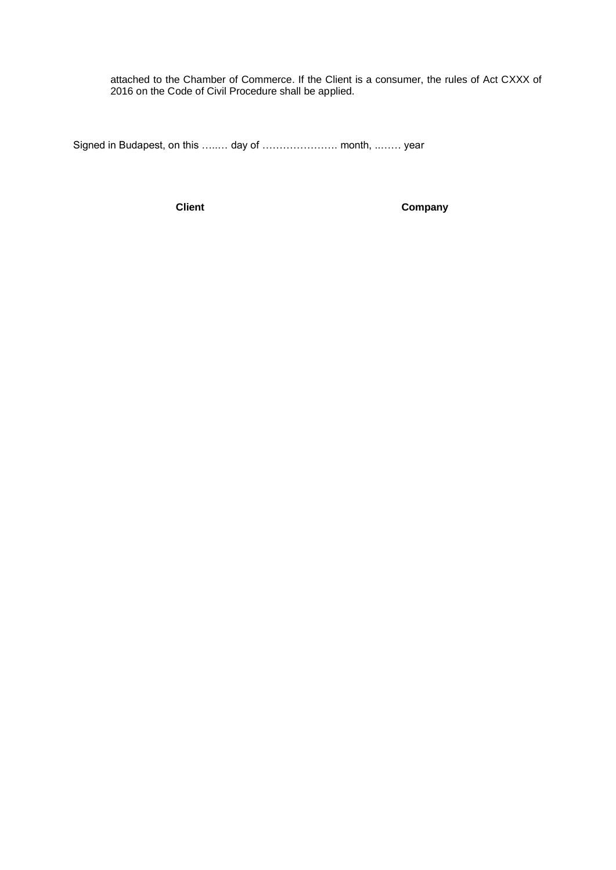attached to the Chamber of Commerce. If the Client is a consumer, the rules of Act CXXX of 2016 on the Code of Civil Procedure shall be applied.

Signed in Budapest, on this …..… day of …………………. month, ..…… year

**Client Company**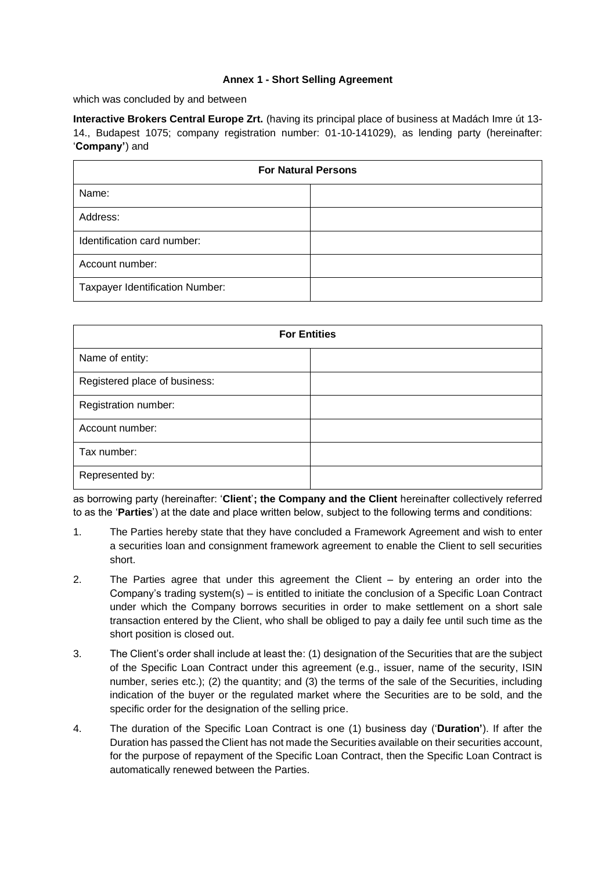## **Annex 1 - Short Selling Agreement**

which was concluded by and between

**Interactive Brokers Central Europe Zrt.** (having its principal place of business at Madách Imre út 13- 14., Budapest 1075; company registration number: 01-10-141029), as lending party (hereinafter: '**Company'**) and

| <b>For Natural Persons</b>             |  |
|----------------------------------------|--|
| Name:                                  |  |
| Address:                               |  |
| Identification card number:            |  |
| Account number:                        |  |
| <b>Taxpayer Identification Number:</b> |  |

| <b>For Entities</b>           |  |
|-------------------------------|--|
| Name of entity:               |  |
| Registered place of business: |  |
| Registration number:          |  |
| Account number:               |  |
| Tax number:                   |  |
| Represented by:               |  |

as borrowing party (hereinafter: '**Client**'**; the Company and the Client** hereinafter collectively referred to as the '**Parties**') at the date and place written below, subject to the following terms and conditions:

- 1. The Parties hereby state that they have concluded a Framework Agreement and wish to enter a securities loan and consignment framework agreement to enable the Client to sell securities short.
- 2. The Parties agree that under this agreement the Client by entering an order into the Company's trading system(s) – is entitled to initiate the conclusion of a Specific Loan Contract under which the Company borrows securities in order to make settlement on a short sale transaction entered by the Client, who shall be obliged to pay a daily fee until such time as the short position is closed out.
- 3. The Client's order shall include at least the: (1) designation of the Securities that are the subject of the Specific Loan Contract under this agreement (e.g., issuer, name of the security, ISIN number, series etc.); (2) the quantity; and (3) the terms of the sale of the Securities, including indication of the buyer or the regulated market where the Securities are to be sold, and the specific order for the designation of the selling price.
- 4. The duration of the Specific Loan Contract is one (1) business day ('**Duration'**). If after the Duration has passed the Client has not made the Securities available on their securities account, for the purpose of repayment of the Specific Loan Contract, then the Specific Loan Contract is automatically renewed between the Parties.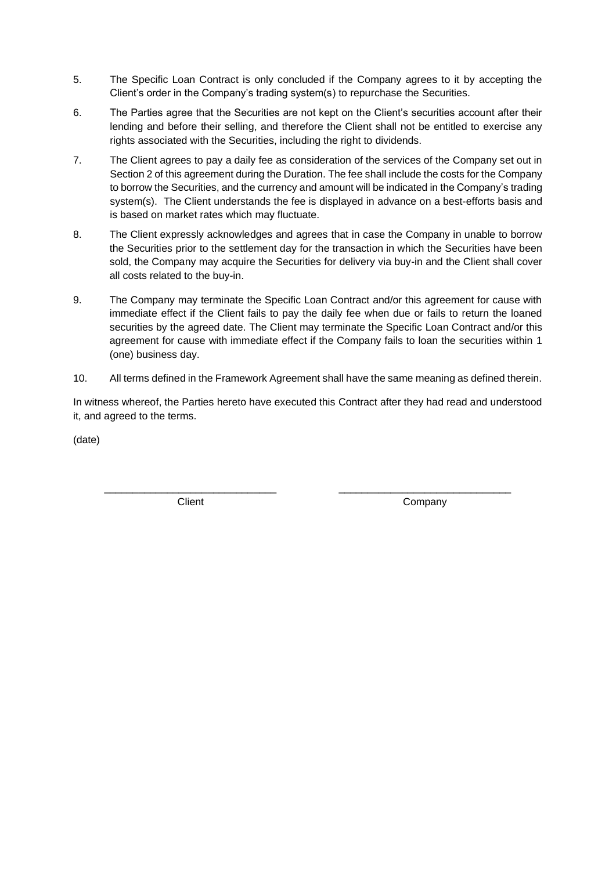- 5. The Specific Loan Contract is only concluded if the Company agrees to it by accepting the Client's order in the Company's trading system(s) to repurchase the Securities.
- 6. The Parties agree that the Securities are not kept on the Client's securities account after their lending and before their selling, and therefore the Client shall not be entitled to exercise any rights associated with the Securities, including the right to dividends.
- 7. The Client agrees to pay a daily fee as consideration of the services of the Company set out in Section 2 of this agreement during the Duration. The fee shall include the costs for the Company to borrow the Securities, and the currency and amount will be indicated in the Company's trading system(s). The Client understands the fee is displayed in advance on a best-efforts basis and is based on market rates which may fluctuate.
- 8. The Client expressly acknowledges and agrees that in case the Company in unable to borrow the Securities prior to the settlement day for the transaction in which the Securities have been sold, the Company may acquire the Securities for delivery via buy-in and the Client shall cover all costs related to the buy-in.
- 9. The Company may terminate the Specific Loan Contract and/or this agreement for cause with immediate effect if the Client fails to pay the daily fee when due or fails to return the loaned securities by the agreed date. The Client may terminate the Specific Loan Contract and/or this agreement for cause with immediate effect if the Company fails to loan the securities within 1 (one) business day.
- 10. All terms defined in the Framework Agreement shall have the same meaning as defined therein.

In witness whereof, the Parties hereto have executed this Contract after they had read and understood it, and agreed to the terms.

(date)

\_\_\_\_\_\_\_\_\_\_\_\_\_\_\_\_\_\_\_\_\_\_\_\_\_\_\_\_\_\_ **Client** 

\_\_\_\_\_\_\_\_\_\_\_\_\_\_\_\_\_\_\_\_\_\_\_\_\_\_\_\_\_\_ **Company**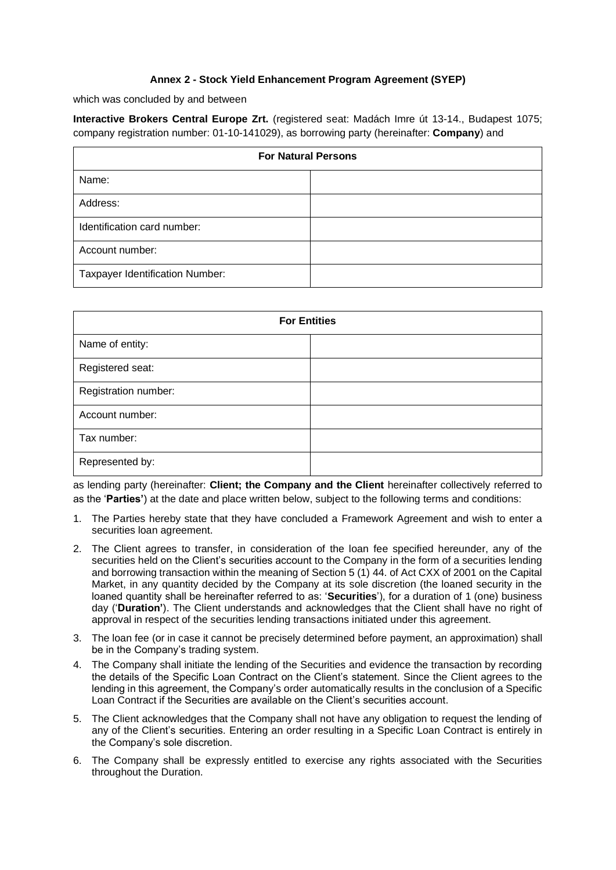# **Annex 2 - Stock Yield Enhancement Program Agreement (SYEP)**

which was concluded by and between

**Interactive Brokers Central Europe Zrt.** (registered seat: Madách Imre út 13-14., Budapest 1075; company registration number: 01-10-141029), as borrowing party (hereinafter: **Company**) and

| <b>For Natural Persons</b>             |  |
|----------------------------------------|--|
| Name:                                  |  |
| Address:                               |  |
| Identification card number:            |  |
| Account number:                        |  |
| <b>Taxpayer Identification Number:</b> |  |

| <b>For Entities</b>  |  |  |
|----------------------|--|--|
| Name of entity:      |  |  |
| Registered seat:     |  |  |
| Registration number: |  |  |
| Account number:      |  |  |
| Tax number:          |  |  |
| Represented by:      |  |  |

as lending party (hereinafter: **Client; the Company and the Client** hereinafter collectively referred to as the '**Parties'**) at the date and place written below, subject to the following terms and conditions:

- 1. The Parties hereby state that they have concluded a Framework Agreement and wish to enter a securities loan agreement.
- 2. The Client agrees to transfer, in consideration of the loan fee specified hereunder, any of the securities held on the Client's securities account to the Company in the form of a securities lending and borrowing transaction within the meaning of Section 5 (1) 44. of Act CXX of 2001 on the Capital Market, in any quantity decided by the Company at its sole discretion (the loaned security in the loaned quantity shall be hereinafter referred to as: '**Securities**'), for a duration of 1 (one) business day ('**Duration'**). The Client understands and acknowledges that the Client shall have no right of approval in respect of the securities lending transactions initiated under this agreement.
- 3. The loan fee (or in case it cannot be precisely determined before payment, an approximation) shall be in the Company's trading system.
- 4. The Company shall initiate the lending of the Securities and evidence the transaction by recording the details of the Specific Loan Contract on the Client's statement. Since the Client agrees to the lending in this agreement, the Company's order automatically results in the conclusion of a Specific Loan Contract if the Securities are available on the Client's securities account.
- 5. The Client acknowledges that the Company shall not have any obligation to request the lending of any of the Client's securities. Entering an order resulting in a Specific Loan Contract is entirely in the Company's sole discretion.
- 6. The Company shall be expressly entitled to exercise any rights associated with the Securities throughout the Duration.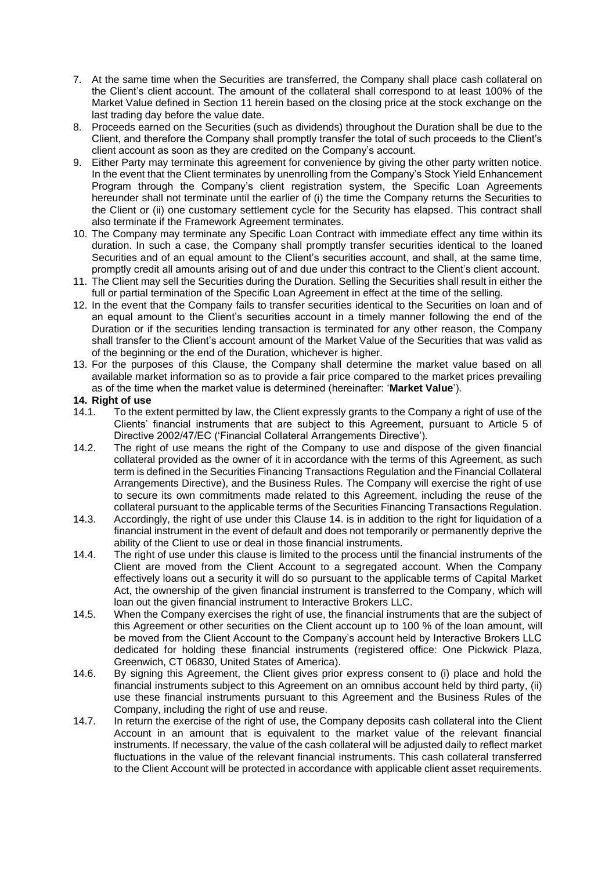- 7. At the same time when the Securities are transferred, the Company shall place cash collateral on the Client's client account. The amount of the collateral shall correspond to at least 100% of the Market Value defined in Section 11 herein based on the closing price at the stock exchange on the last trading day before the value date.
- 8. Proceeds earned on the Securities (such as dividends) throughout the Duration shall be due to the Client, and therefore the Company shall promptly transfer the total of such proceeds to the Client's client account as soon as they are credited on the Company's account.
- 9. Either Party may terminate this agreement for convenience by giving the other party written notice. In the event that the Client terminates by unenrolling from the Company's Stock Yield Enhancement Program through the Company's client registration system, the Specific Loan Agreements hereunder shall not terminate until the earlier of (i) the time the Company returns the Securities to the Client or (ii) one customary settlement cycle for the Security has elapsed. This contract shall also terminate if the Framework Agreement terminates.
- 10. The Company may terminate any Specific Loan Contract with immediate effect any time within its duration. In such a case, the Company shall promptly transfer securities identical to the loaned Securities and of an equal amount to the Client's securities account, and shall, at the same time, promptly credit all amounts arising out of and due under this contract to the Client's client account.
- 11. The Client may sell the Securities during the Duration. Selling the Securities shall result in either the full or partial termination of the Specific Loan Agreement in effect at the time of the selling.
- 12. In the event that the Company fails to transfer securities identical to the Securities on loan and of an equal amount to the Client's securities account in a timely manner following the end of the Duration or if the securities lending transaction is terminated for any other reason, the Company shall transfer to the Client's account amount of the Market Value of the Securities that was valid as of the beginning or the end of the Duration, whichever is higher.
- 13. For the purposes of this Clause, the Company shall determine the market value based on all available market information so as to provide a fair price compared to the market prices prevailing as of the time when the market value is determined (hereinafter: '**Market Value**').

### **14. Right of use**

- 14.1. To the extent permitted by law, the Client expressly grants to the Company a right of use of the Clients' financial instruments that are subject to this Agreement, pursuant to Article 5 of Directive 2002/47/EC ('Financial Collateral Arrangements Directive').
- 14.2. The right of use means the right of the Company to use and dispose of the given financial collateral provided as the owner of it in accordance with the terms of this Agreement, as such term is defined in the Securities Financing Transactions Regulation and the Financial Collateral Arrangements Directive), and the Business Rules. The Company will exercise the right of use to secure its own commitments made related to this Agreement, including the reuse of the collateral pursuant to the applicable terms of the Securities Financing Transactions Regulation.
- 14.3. Accordingly, the right of use under this Clause 14. is in addition to the right for liquidation of a financial instrument in the event of default and does not temporarily or permanently deprive the ability of the Client to use or deal in those financial instruments.
- 14.4. The right of use under this clause is limited to the process until the financial instruments of the Client are moved from the Client Account to a segregated account. When the Company effectively loans out a security it will do so pursuant to the applicable terms of Capital Market Act, the ownership of the given financial instrument is transferred to the Company, which will loan out the given financial instrument to Interactive Brokers LLC.
- 14.5. When the Company exercises the right of use, the financial instruments that are the subject of this Agreement or other securities on the Client account up to 100 % of the loan amount, will be moved from the Client Account to the Company's account held by Interactive Brokers LLC dedicated for holding these financial instruments (registered office: One Pickwick Plaza, Greenwich, CT 06830, United States of America).
- 14.6. By signing this Agreement, the Client gives prior express consent to (i) place and hold the financial instruments subject to this Agreement on an omnibus account held by third party, (ii) use these financial instruments pursuant to this Agreement and the Business Rules of the Company, including the right of use and reuse.
- 14.7. In return the exercise of the right of use, the Company deposits cash collateral into the Client Account in an amount that is equivalent to the market value of the relevant financial instruments. If necessary, the value of the cash collateral will be adjusted daily to reflect market fluctuations in the value of the relevant financial instruments. This cash collateral transferred to the Client Account will be protected in accordance with applicable client asset requirements.